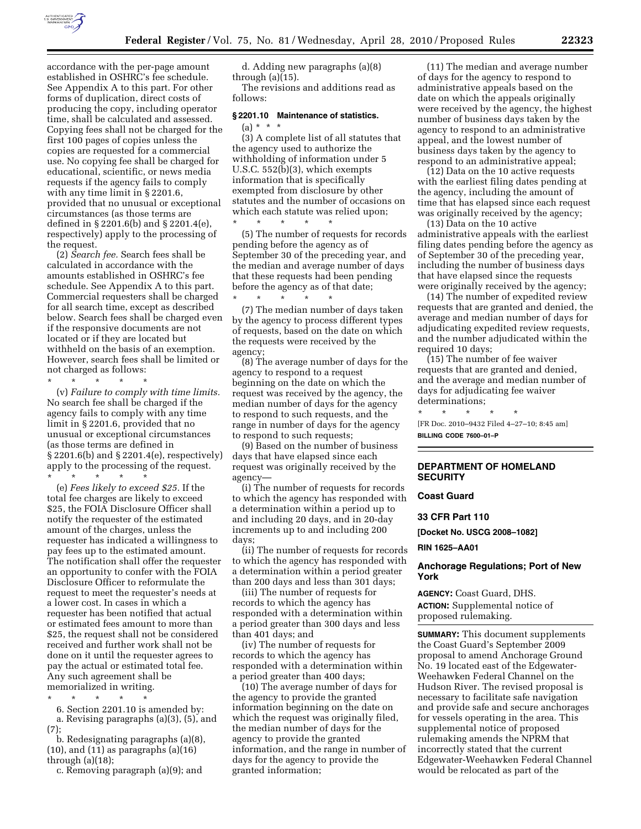

accordance with the per-page amount established in OSHRC's fee schedule. See Appendix A to this part. For other forms of duplication, direct costs of producing the copy, including operator time, shall be calculated and assessed. Copying fees shall not be charged for the first 100 pages of copies unless the copies are requested for a commercial use. No copying fee shall be charged for educational, scientific, or news media requests if the agency fails to comply with any time limit in § 2201.6, provided that no unusual or exceptional circumstances (as those terms are defined in § 2201.6(b) and § 2201.4(e), respectively) apply to the processing of the request.

(2) *Search fee.* Search fees shall be calculated in accordance with the amounts established in OSHRC's fee schedule. See Appendix A to this part. Commercial requesters shall be charged for all search time, except as described below. Search fees shall be charged even if the responsive documents are not located or if they are located but withheld on the basis of an exemption. However, search fees shall be limited or not charged as follows:

\* \* \* \* \* (v) *Failure to comply with time limits.*  No search fee shall be charged if the agency fails to comply with any time limit in § 2201.6, provided that no unusual or exceptional circumstances (as those terms are defined in § 2201.6(b) and § 2201.4(e), respectively) apply to the processing of the request.

\* \* \* \* \* (e) *Fees likely to exceed \$25.* If the total fee charges are likely to exceed \$25, the FOIA Disclosure Officer shall notify the requester of the estimated amount of the charges, unless the requester has indicated a willingness to pay fees up to the estimated amount. The notification shall offer the requester an opportunity to confer with the FOIA Disclosure Officer to reformulate the request to meet the requester's needs at a lower cost. In cases in which a requester has been notified that actual or estimated fees amount to more than \$25, the request shall not be considered received and further work shall not be done on it until the requester agrees to pay the actual or estimated total fee. Any such agreement shall be memorialized in writing.

\* \* \* \* \*

6. Section 2201.10 is amended by:

a. Revising paragraphs (a)(3), (5), and (7);

b. Redesignating paragraphs (a)(8), (10), and (11) as paragraphs (a)(16) through (a)(18);

c. Removing paragraph (a)(9); and

d. Adding new paragraphs (a)(8) through (a)(15).

The revisions and additions read as follows:

# **§ 2201.10 Maintenance of statistics.**   $(a) * * * *$

(3) A complete list of all statutes that the agency used to authorize the withholding of information under 5 U.S.C. 552(b)(3), which exempts information that is specifically exempted from disclosure by other statutes and the number of occasions on which each statute was relied upon; \* \* \* \* \*

(5) The number of requests for records pending before the agency as of September 30 of the preceding year, and the median and average number of days that these requests had been pending before the agency as of that date;

\* \* \* \* \* (7) The median number of days taken by the agency to process different types of requests, based on the date on which the requests were received by the agency;

(8) The average number of days for the agency to respond to a request beginning on the date on which the request was received by the agency, the median number of days for the agency to respond to such requests, and the range in number of days for the agency to respond to such requests;

(9) Based on the number of business days that have elapsed since each request was originally received by the agency—

(i) The number of requests for records to which the agency has responded with a determination within a period up to and including 20 days, and in 20-day increments up to and including 200 days;

(ii) The number of requests for records to which the agency has responded with a determination within a period greater than 200 days and less than 301 days;

(iii) The number of requests for records to which the agency has responded with a determination within a period greater than 300 days and less than 401 days; and

(iv) The number of requests for records to which the agency has responded with a determination within a period greater than 400 days;

(10) The average number of days for the agency to provide the granted information beginning on the date on which the request was originally filed, the median number of days for the agency to provide the granted information, and the range in number of days for the agency to provide the granted information;

(11) The median and average number of days for the agency to respond to administrative appeals based on the date on which the appeals originally were received by the agency, the highest number of business days taken by the agency to respond to an administrative appeal, and the lowest number of business days taken by the agency to respond to an administrative appeal;

(12) Data on the 10 active requests with the earliest filing dates pending at the agency, including the amount of time that has elapsed since each request was originally received by the agency;

(13) Data on the 10 active administrative appeals with the earliest filing dates pending before the agency as of September 30 of the preceding year, including the number of business days that have elapsed since the requests were originally received by the agency;

(14) The number of expedited review requests that are granted and denied, the average and median number of days for adjudicating expedited review requests, and the number adjudicated within the required 10 days;

(15) The number of fee waiver requests that are granted and denied, and the average and median number of days for adjudicating fee waiver determinations;

\* \* \* \* \* [FR Doc. 2010–9432 Filed 4–27–10; 8:45 am]

# **BILLING CODE 7600–01–P**

# **DEPARTMENT OF HOMELAND SECURITY**

# **Coast Guard**

**33 CFR Part 110** 

**[Docket No. USCG 2008–1082]** 

**RIN 1625–AA01** 

# **Anchorage Regulations; Port of New York**

**AGENCY:** Coast Guard, DHS. **ACTION:** Supplemental notice of proposed rulemaking.

**SUMMARY:** This document supplements the Coast Guard's September 2009 proposal to amend Anchorage Ground No. 19 located east of the Edgewater-Weehawken Federal Channel on the Hudson River. The revised proposal is necessary to facilitate safe navigation and provide safe and secure anchorages for vessels operating in the area. This supplemental notice of proposed rulemaking amends the NPRM that incorrectly stated that the current Edgewater-Weehawken Federal Channel would be relocated as part of the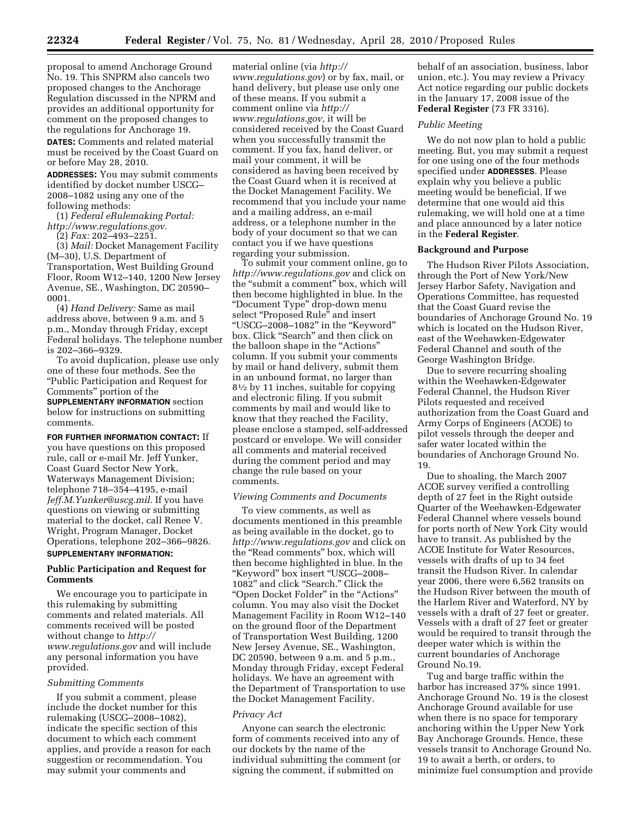proposal to amend Anchorage Ground No. 19. This SNPRM also cancels two proposed changes to the Anchorage Regulation discussed in the NPRM and provides an additional opportunity for comment on the proposed changes to the regulations for Anchorage 19.

**DATES:** Comments and related material must be received by the Coast Guard on or before May 28, 2010.

**ADDRESSES:** You may submit comments identified by docket number USCG– 2008–1082 using any one of the following methods:

(1) *Federal eRulemaking Portal: http://www.regulations.gov.* 

(2) *Fax:* 202–493–2251.

(3) *Mail:* Docket Management Facility (M–30), U.S. Department of Transportation, West Building Ground Floor, Room W12–140, 1200 New Jersey Avenue, SE., Washington, DC 20590– 0001.

(4) *Hand Delivery:* Same as mail address above, between 9 a.m. and 5 p.m., Monday through Friday, except Federal holidays. The telephone number is 202–366–9329.

To avoid duplication, please use only one of these four methods. See the ''Public Participation and Request for Comments'' portion of the

**SUPPLEMENTARY INFORMATION** section below for instructions on submitting comments.

**FOR FURTHER INFORMATION CONTACT:** If you have questions on this proposed rule, call or e-mail Mr. Jeff Yunker, Coast Guard Sector New York, Waterways Management Division; telephone 718–354–4195, e-mail *Jeff.M.Yunker@uscg.mil.* If you have questions on viewing or submitting material to the docket, call Renee V. Wright, Program Manager, Docket Operations, telephone 202–366–9826. **SUPPLEMENTARY INFORMATION:** 

# **Public Participation and Request for Comments**

We encourage you to participate in this rulemaking by submitting comments and related materials. All comments received will be posted without change to *http:// www.regulations.gov* and will include any personal information you have provided.

### *Submitting Comments*

If you submit a comment, please include the docket number for this rulemaking (USCG–2008–1082), indicate the specific section of this document to which each comment applies, and provide a reason for each suggestion or recommendation. You may submit your comments and

material online (via *http:// www.regulations.gov*) or by fax, mail, or hand delivery, but please use only one of these means. If you submit a comment online via *http:// www.regulations.gov,* it will be considered received by the Coast Guard when you successfully transmit the comment. If you fax, hand deliver, or mail your comment, it will be considered as having been received by the Coast Guard when it is received at the Docket Management Facility. We recommend that you include your name and a mailing address, an e-mail address, or a telephone number in the body of your document so that we can contact you if we have questions regarding your submission.

To submit your comment online, go to *http://www.regulations.gov* and click on the ''submit a comment'' box, which will then become highlighted in blue. In the ''Document Type'' drop-down menu select "Proposed Rule" and insert ''USCG–2008–1082'' in the ''Keyword'' box. Click ''Search'' and then click on the balloon shape in the "Actions" column. If you submit your comments by mail or hand delivery, submit them in an unbound format, no larger than 81⁄2 by 11 inches, suitable for copying and electronic filing. If you submit comments by mail and would like to know that they reached the Facility, please enclose a stamped, self-addressed postcard or envelope. We will consider all comments and material received during the comment period and may change the rule based on your comments.

### *Viewing Comments and Documents*

To view comments, as well as documents mentioned in this preamble as being available in the docket, go to *http://www.regulations.gov* and click on the ''Read comments'' box, which will then become highlighted in blue. In the ''Keyword'' box insert ''USCG–2008– 1082'' and click ''Search.'' Click the ''Open Docket Folder'' in the ''Actions'' column. You may also visit the Docket Management Facility in Room W12–140 on the ground floor of the Department of Transportation West Building, 1200 New Jersey Avenue, SE., Washington, DC 20590, between 9 a.m. and 5 p.m., Monday through Friday, except Federal holidays. We have an agreement with the Department of Transportation to use the Docket Management Facility.

#### *Privacy Act*

Anyone can search the electronic form of comments received into any of our dockets by the name of the individual submitting the comment (or signing the comment, if submitted on

behalf of an association, business, labor union, etc.). You may review a Privacy Act notice regarding our public dockets in the January 17, 2008 issue of the **Federal Register** (73 FR 3316).

### *Public Meeting*

We do not now plan to hold a public meeting. But, you may submit a request for one using one of the four methods specified under **ADDRESSES**. Please explain why you believe a public meeting would be beneficial. If we determine that one would aid this rulemaking, we will hold one at a time and place announced by a later notice in the **Federal Register**.

#### **Background and Purpose**

The Hudson River Pilots Association, through the Port of New York/New Jersey Harbor Safety, Navigation and Operations Committee, has requested that the Coast Guard revise the boundaries of Anchorage Ground No. 19 which is located on the Hudson River, east of the Weehawken-Edgewater Federal Channel and south of the George Washington Bridge.

Due to severe recurring shoaling within the Weehawken-Edgewater Federal Channel, the Hudson River Pilots requested and received authorization from the Coast Guard and Army Corps of Engineers (ACOE) to pilot vessels through the deeper and safer water located within the boundaries of Anchorage Ground No. 19.

Due to shoaling, the March 2007 ACOE survey verified a controlling depth of 27 feet in the Right outside Quarter of the Weehawken-Edgewater Federal Channel where vessels bound for ports north of New York City would have to transit. As published by the ACOE Institute for Water Resources, vessels with drafts of up to 34 feet transit the Hudson River. In calendar year 2006, there were 6,562 transits on the Hudson River between the mouth of the Harlem River and Waterford, NY by vessels with a draft of 27 feet or greater. Vessels with a draft of 27 feet or greater would be required to transit through the deeper water which is within the current boundaries of Anchorage Ground No.19.

Tug and barge traffic within the harbor has increased 37% since 1991. Anchorage Ground No. 19 is the closest Anchorage Ground available for use when there is no space for temporary anchoring within the Upper New York Bay Anchorage Grounds. Hence, these vessels transit to Anchorage Ground No. 19 to await a berth, or orders, to minimize fuel consumption and provide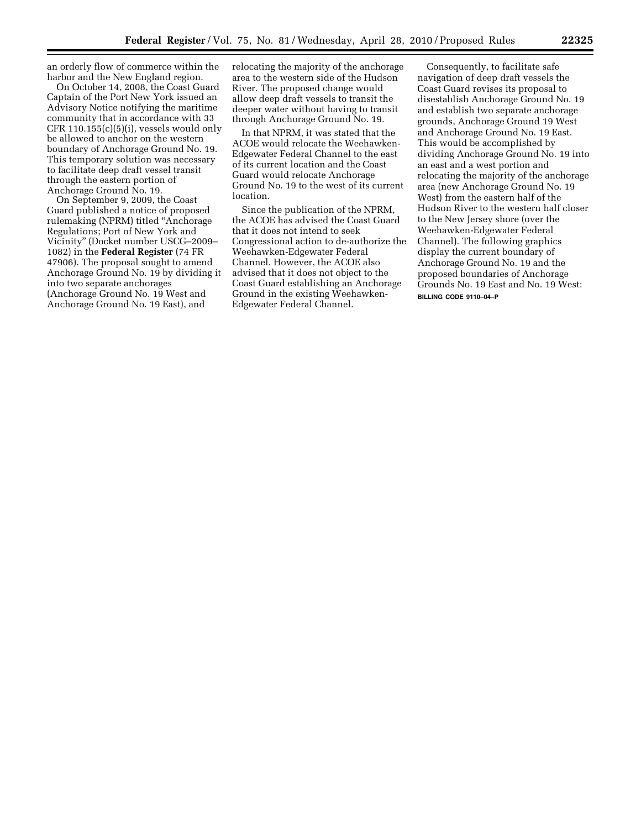an orderly flow of commerce within the harbor and the New England region.

On October 14, 2008, the Coast Guard Captain of the Port New York issued an Advisory Notice notifying the maritime community that in accordance with 33 CFR 110.155(c)(5)(i), vessels would only be allowed to anchor on the western boundary of Anchorage Ground No. 19. This temporary solution was necessary to facilitate deep draft vessel transit through the eastern portion of Anchorage Ground No. 19.

On September 9, 2009, the Coast Guard published a notice of proposed rulemaking (NPRM) titled ''Anchorage Regulations; Port of New York and Vicinity'' (Docket number USCG–2009– 1082) in the **Federal Register** (74 FR 47906). The proposal sought to amend Anchorage Ground No. 19 by dividing it into two separate anchorages (Anchorage Ground No. 19 West and Anchorage Ground No. 19 East), and

relocating the majority of the anchorage area to the western side of the Hudson River. The proposed change would allow deep draft vessels to transit the deeper water without having to transit through Anchorage Ground No. 19.

In that NPRM, it was stated that the ACOE would relocate the Weehawken-Edgewater Federal Channel to the east of its current location and the Coast Guard would relocate Anchorage Ground No. 19 to the west of its current location.

Since the publication of the NPRM, the ACOE has advised the Coast Guard that it does not intend to seek Congressional action to de-authorize the Weehawken-Edgewater Federal Channel. However, the ACOE also advised that it does not object to the Coast Guard establishing an Anchorage Ground in the existing Weehawken-Edgewater Federal Channel.

Consequently, to facilitate safe navigation of deep draft vessels the Coast Guard revises its proposal to disestablish Anchorage Ground No. 19 and establish two separate anchorage grounds, Anchorage Ground 19 West and Anchorage Ground No. 19 East. This would be accomplished by dividing Anchorage Ground No. 19 into an east and a west portion and relocating the majority of the anchorage area (new Anchorage Ground No. 19 West) from the eastern half of the Hudson River to the western half closer to the New Jersey shore (over the Weehawken-Edgewater Federal Channel). The following graphics display the current boundary of Anchorage Ground No. 19 and the proposed boundaries of Anchorage Grounds No. 19 East and No. 19 West: **BILLING CODE 9110–04–P**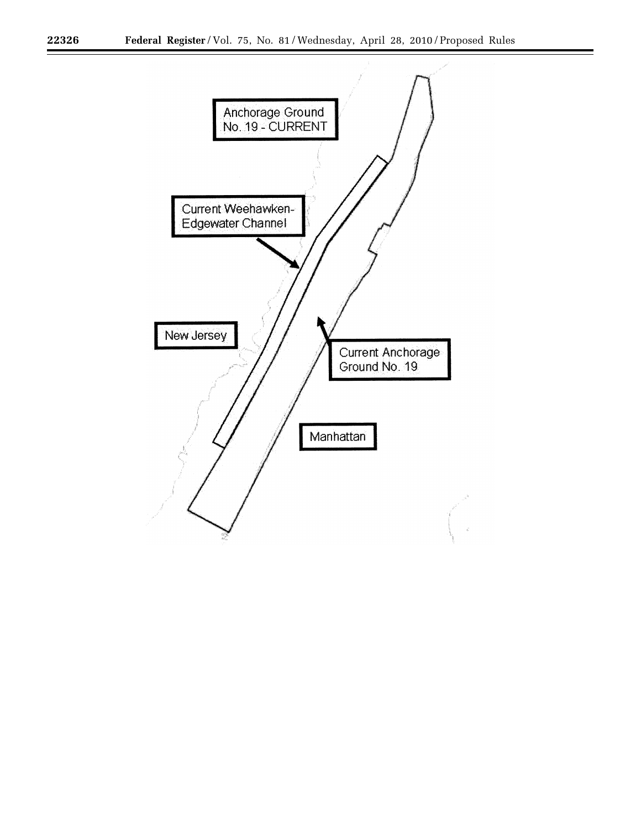۳

÷.

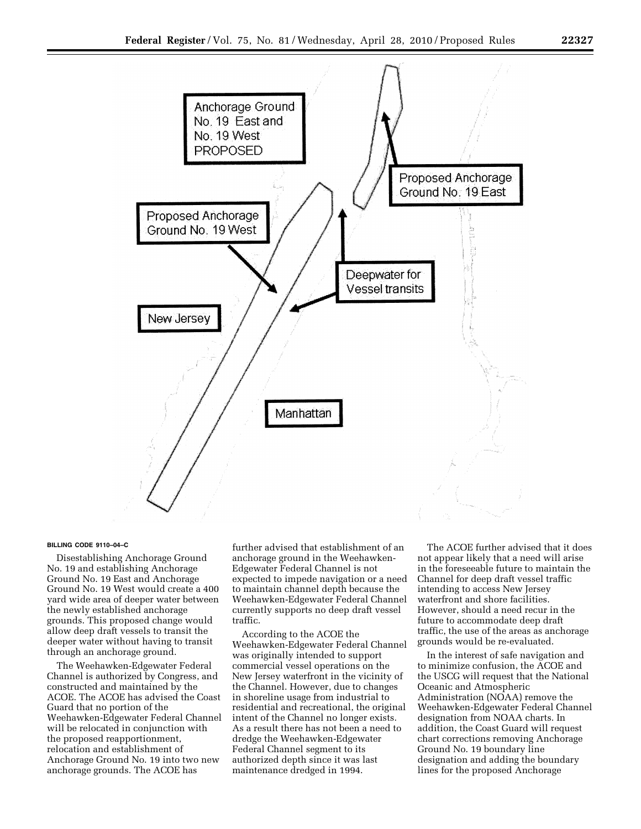

#### **BILLING CODE 9110–04–C**

Disestablishing Anchorage Ground No. 19 and establishing Anchorage Ground No. 19 East and Anchorage Ground No. 19 West would create a 400 yard wide area of deeper water between the newly established anchorage grounds. This proposed change would allow deep draft vessels to transit the deeper water without having to transit through an anchorage ground.

The Weehawken-Edgewater Federal Channel is authorized by Congress, and constructed and maintained by the ACOE. The ACOE has advised the Coast Guard that no portion of the Weehawken-Edgewater Federal Channel will be relocated in conjunction with the proposed reapportionment, relocation and establishment of Anchorage Ground No. 19 into two new anchorage grounds. The ACOE has

further advised that establishment of an anchorage ground in the Weehawken-Edgewater Federal Channel is not expected to impede navigation or a need to maintain channel depth because the Weehawken-Edgewater Federal Channel currently supports no deep draft vessel traffic.

According to the ACOE the Weehawken-Edgewater Federal Channel was originally intended to support commercial vessel operations on the New Jersey waterfront in the vicinity of the Channel. However, due to changes in shoreline usage from industrial to residential and recreational, the original intent of the Channel no longer exists. As a result there has not been a need to dredge the Weehawken-Edgewater Federal Channel segment to its authorized depth since it was last maintenance dredged in 1994.

The ACOE further advised that it does not appear likely that a need will arise in the foreseeable future to maintain the Channel for deep draft vessel traffic intending to access New Jersey waterfront and shore facilities. However, should a need recur in the future to accommodate deep draft traffic, the use of the areas as anchorage grounds would be re-evaluated.

In the interest of safe navigation and to minimize confusion, the ACOE and the USCG will request that the National Oceanic and Atmospheric Administration (NOAA) remove the Weehawken-Edgewater Federal Channel designation from NOAA charts. In addition, the Coast Guard will request chart corrections removing Anchorage Ground No. 19 boundary line designation and adding the boundary lines for the proposed Anchorage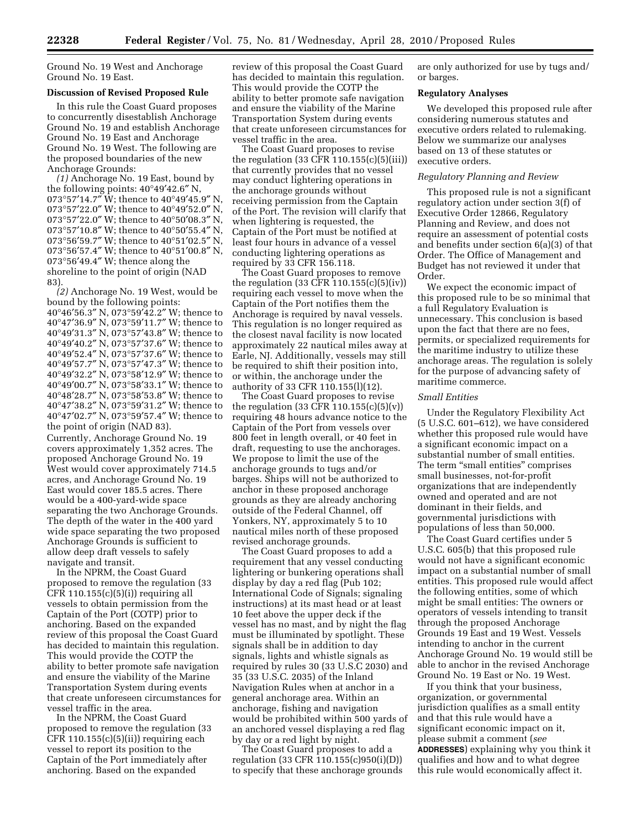Ground No. 19 West and Anchorage Ground No. 19 East.

### **Discussion of Revised Proposed Rule**

In this rule the Coast Guard proposes to concurrently disestablish Anchorage Ground No. 19 and establish Anchorage Ground No. 19 East and Anchorage Ground No. 19 West. The following are the proposed boundaries of the new Anchorage Grounds:

*(1)* Anchorage No. 19 East, bound by the following points: 40°49′42.6″ N, °57′14.7″ W; thence to 40°49′45.9″ N, °57′22.0″ W; thence to 40°49′52.0″ N, °57′22.0″ W; thence to 40°50′08.3″ N, °57′10.8″ W; thence to 40°50′55.4″ N, °56′59.7″ W; thence to 40°51′02.5″ N, °56′57.4″ W; thence to 40°51′00.8″ N, °56′49.4″ W; thence along the shoreline to the point of origin (NAD 83).

*(2)* Anchorage No. 19 West, would be bound by the following points: 40°46′56.3″ N, 073°59′42.2″ W; thence to 40°47′36.9″ N, 073°59′11.7″ W; thence to 40°49′31.3″ N, 073°57′43.8″ W; thence to 40°49′40.2″ N, 073°57′37.6″ W; thence to 40°49′52.4″ N, 073°57′37.6″ W; thence to 40°49′57.7″ N, 073°57′47.3″ W; thence to 40°49′32.2″ N, 073°58′12.9″ W; thence to 40°49′00.7″ N, 073°58′33.1″ W; thence to 40°48′28.7″ N, 073°58′53.8″ W; thence to 40°47′38.2″ N, 073°59′31.2″ W; thence to 40°47′02.7″ N, 073°59′57.4″ W; thence to the point of origin (NAD 83). Currently, Anchorage Ground No. 19 covers approximately 1,352 acres. The proposed Anchorage Ground No. 19 West would cover approximately 714.5 acres, and Anchorage Ground No. 19 East would cover 185.5 acres. There would be a 400-yard-wide space separating the two Anchorage Grounds. The depth of the water in the 400 yard

wide space separating the two proposed Anchorage Grounds is sufficient to allow deep draft vessels to safely navigate and transit. In the NPRM, the Coast Guard

proposed to remove the regulation (33  $CFR 110.155(c)(5)(i))$  requiring all vessels to obtain permission from the Captain of the Port (COTP) prior to anchoring. Based on the expanded review of this proposal the Coast Guard has decided to maintain this regulation. This would provide the COTP the ability to better promote safe navigation and ensure the viability of the Marine Transportation System during events that create unforeseen circumstances for vessel traffic in the area.

In the NPRM, the Coast Guard proposed to remove the regulation (33  $CFR 110.155(c)(5)(ii)$  requiring each vessel to report its position to the Captain of the Port immediately after anchoring. Based on the expanded

review of this proposal the Coast Guard has decided to maintain this regulation. This would provide the COTP the ability to better promote safe navigation and ensure the viability of the Marine Transportation System during events that create unforeseen circumstances for vessel traffic in the area.

The Coast Guard proposes to revise the regulation  $(33 \text{ CFR } 110.155(c)(5)(iii))$ that currently provides that no vessel may conduct lightering operations in the anchorage grounds without receiving permission from the Captain of the Port. The revision will clarify that when lightering is requested, the Captain of the Port must be notified at least four hours in advance of a vessel conducting lightering operations as required by 33 CFR 156.118.

The Coast Guard proposes to remove the regulation (33 CFR 110.155(c)(5)(iv)) requiring each vessel to move when the Captain of the Port notifies them the Anchorage is required by naval vessels. This regulation is no longer required as the closest naval facility is now located approximately 22 nautical miles away at Earle, NJ. Additionally, vessels may still be required to shift their position into, or within, the anchorage under the authority of 33 CFR 110.155(l)(12).

The Coast Guard proposes to revise the regulation (33 CFR 110.155 $(c)(5)(v)$ ) requiring 48 hours advance notice to the Captain of the Port from vessels over 800 feet in length overall, or 40 feet in draft, requesting to use the anchorages. We propose to limit the use of the anchorage grounds to tugs and/or barges. Ships will not be authorized to anchor in these proposed anchorage grounds as they are already anchoring outside of the Federal Channel, off Yonkers, NY, approximately 5 to 10 nautical miles north of these proposed revised anchorage grounds.

The Coast Guard proposes to add a requirement that any vessel conducting lightering or bunkering operations shall display by day a red flag (Pub 102; International Code of Signals; signaling instructions) at its mast head or at least 10 feet above the upper deck if the vessel has no mast, and by night the flag must be illuminated by spotlight. These signals shall be in addition to day signals, lights and whistle signals as required by rules 30 (33 U.S.C 2030) and 35 (33 U.S.C. 2035) of the Inland Navigation Rules when at anchor in a general anchorage area. Within an anchorage, fishing and navigation would be prohibited within 500 yards of an anchored vessel displaying a red flag by day or a red light by night.

The Coast Guard proposes to add a regulation (33 CFR 110.155(c)950(i)(D)) to specify that these anchorage grounds are only authorized for use by tugs and/ or barges.

#### **Regulatory Analyses**

We developed this proposed rule after considering numerous statutes and executive orders related to rulemaking. Below we summarize our analyses based on 13 of these statutes or executive orders.

#### *Regulatory Planning and Review*

This proposed rule is not a significant regulatory action under section 3(f) of Executive Order 12866, Regulatory Planning and Review, and does not require an assessment of potential costs and benefits under section 6(a)(3) of that Order. The Office of Management and Budget has not reviewed it under that Order.

We expect the economic impact of this proposed rule to be so minimal that a full Regulatory Evaluation is unnecessary. This conclusion is based upon the fact that there are no fees, permits, or specialized requirements for the maritime industry to utilize these anchorage areas. The regulation is solely for the purpose of advancing safety of maritime commerce.

### *Small Entities*

Under the Regulatory Flexibility Act (5 U.S.C. 601–612), we have considered whether this proposed rule would have a significant economic impact on a substantial number of small entities. The term "small entities" comprises small businesses, not-for-profit organizations that are independently owned and operated and are not dominant in their fields, and governmental jurisdictions with populations of less than 50,000.

The Coast Guard certifies under 5 U.S.C. 605(b) that this proposed rule would not have a significant economic impact on a substantial number of small entities. This proposed rule would affect the following entities, some of which might be small entities: The owners or operators of vessels intending to transit through the proposed Anchorage Grounds 19 East and 19 West. Vessels intending to anchor in the current Anchorage Ground No. 19 would still be able to anchor in the revised Anchorage Ground No. 19 East or No. 19 West.

If you think that your business, organization, or governmental jurisdiction qualifies as a small entity and that this rule would have a significant economic impact on it, please submit a comment (*see*  **ADDRESSES**) explaining why you think it qualifies and how and to what degree this rule would economically affect it.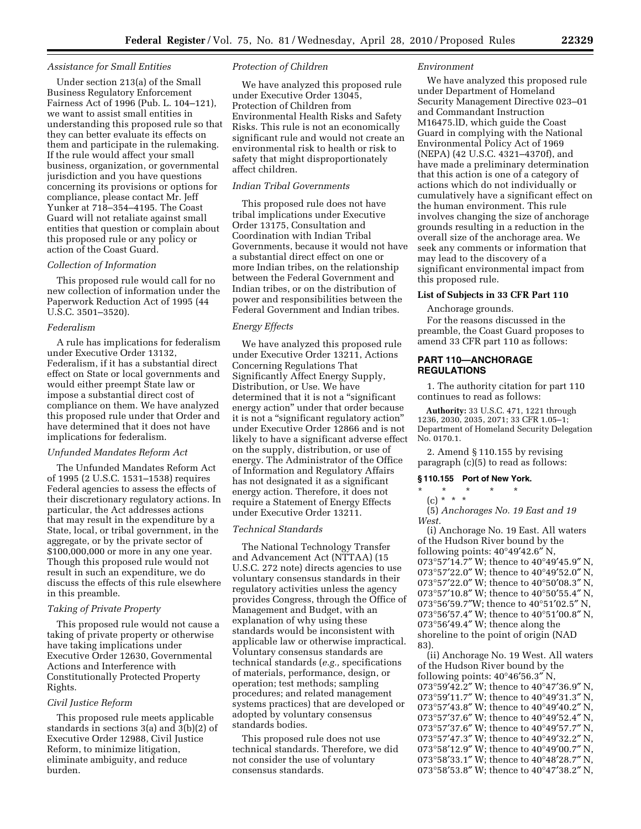#### *Assistance for Small Entities*

Under section 213(a) of the Small Business Regulatory Enforcement Fairness Act of 1996 (Pub. L. 104–121), we want to assist small entities in understanding this proposed rule so that they can better evaluate its effects on them and participate in the rulemaking. If the rule would affect your small business, organization, or governmental jurisdiction and you have questions concerning its provisions or options for compliance, please contact Mr. Jeff Yunker at 718–354–4195. The Coast Guard will not retaliate against small entities that question or complain about this proposed rule or any policy or action of the Coast Guard.

### *Collection of Information*

This proposed rule would call for no new collection of information under the Paperwork Reduction Act of 1995 (44 U.S.C. 3501–3520).

### *Federalism*

A rule has implications for federalism under Executive Order 13132, Federalism, if it has a substantial direct effect on State or local governments and would either preempt State law or impose a substantial direct cost of compliance on them. We have analyzed this proposed rule under that Order and have determined that it does not have implications for federalism.

#### *Unfunded Mandates Reform Act*

The Unfunded Mandates Reform Act of 1995 (2 U.S.C. 1531–1538) requires Federal agencies to assess the effects of their discretionary regulatory actions. In particular, the Act addresses actions that may result in the expenditure by a State, local, or tribal government, in the aggregate, or by the private sector of \$100,000,000 or more in any one year. Though this proposed rule would not result in such an expenditure, we do discuss the effects of this rule elsewhere in this preamble.

### *Taking of Private Property*

This proposed rule would not cause a taking of private property or otherwise have taking implications under Executive Order 12630, Governmental Actions and Interference with Constitutionally Protected Property Rights.

# *Civil Justice Reform*

This proposed rule meets applicable standards in sections 3(a) and 3(b)(2) of Executive Order 12988, Civil Justice Reform, to minimize litigation, eliminate ambiguity, and reduce burden.

### *Protection of Children*

We have analyzed this proposed rule under Executive Order 13045, Protection of Children from Environmental Health Risks and Safety Risks. This rule is not an economically significant rule and would not create an environmental risk to health or risk to safety that might disproportionately affect children.

# *Indian Tribal Governments*

This proposed rule does not have tribal implications under Executive Order 13175, Consultation and Coordination with Indian Tribal Governments, because it would not have a substantial direct effect on one or more Indian tribes, on the relationship between the Federal Government and Indian tribes, or on the distribution of power and responsibilities between the Federal Government and Indian tribes.

### *Energy Effects*

We have analyzed this proposed rule under Executive Order 13211, Actions Concerning Regulations That Significantly Affect Energy Supply, Distribution, or Use. We have determined that it is not a "significant energy action'' under that order because it is not a "significant regulatory action" under Executive Order 12866 and is not likely to have a significant adverse effect on the supply, distribution, or use of energy. The Administrator of the Office of Information and Regulatory Affairs has not designated it as a significant energy action. Therefore, it does not require a Statement of Energy Effects under Executive Order 13211.

#### *Technical Standards*

The National Technology Transfer and Advancement Act (NTTAA) (15 U.S.C. 272 note) directs agencies to use voluntary consensus standards in their regulatory activities unless the agency provides Congress, through the Office of Management and Budget, with an explanation of why using these standards would be inconsistent with applicable law or otherwise impractical. Voluntary consensus standards are technical standards (*e.g.,* specifications of materials, performance, design, or operation; test methods; sampling procedures; and related management systems practices) that are developed or adopted by voluntary consensus standards bodies.

This proposed rule does not use technical standards. Therefore, we did not consider the use of voluntary consensus standards.

#### *Environment*

We have analyzed this proposed rule under Department of Homeland Security Management Directive 023–01 and Commandant Instruction M16475.lD, which guide the Coast Guard in complying with the National Environmental Policy Act of 1969 (NEPA) (42 U.S.C. 4321–4370f), and have made a preliminary determination that this action is one of a category of actions which do not individually or cumulatively have a significant effect on the human environment. This rule involves changing the size of anchorage grounds resulting in a reduction in the overall size of the anchorage area. We seek any comments or information that may lead to the discovery of a significant environmental impact from this proposed rule.

### **List of Subjects in 33 CFR Part 110**

Anchorage grounds.

For the reasons discussed in the preamble, the Coast Guard proposes to amend 33 CFR part 110 as follows:

### **PART 110—ANCHORAGE REGULATIONS**

1. The authority citation for part 110 continues to read as follows:

**Authority:** 33 U.S.C. 471, 1221 through 1236, 2030, 2035, 2071; 33 CFR 1.05–1; Department of Homeland Security Delegation No. 0170.1.

2. Amend § 110.155 by revising paragraph (c)(5) to read as follows:

### **§ 110.155 Port of New York.**

- \* \* \* \* \*
- $(c) * * * *$

(5) *Anchorages No. 19 East and 19 West.* 

(i) Anchorage No. 19 East. All waters of the Hudson River bound by the following points: 40°49′42.6″ N, 073°57′14.7″ W; thence to 40°49′45.9″ N, 073°57′22.0″ W; thence to 40°49′52.0″ N, 073°57′22.0″ W; thence to 40°50′08.3″ N, 073°57′10.8″ W; thence to 40°50′55.4″ N,  $073^{\circ}56'59.7''\mbox{W};$  thence to  $40^{\circ}51'02.5''$  N, 073°56′57.4″ W; thence to 40°51′00.8″ N, 073°56′49.4″ W; thence along the shoreline to the point of origin (NAD 83).

(ii) Anchorage No. 19 West. All waters of the Hudson River bound by the following points: 40°46′56.3″ N, °59′42.2″ W; thence to 40°47′36.9″ N, °59′11.7″ W; thence to 40°49′31.3″ N, °57′43.8″ W; thence to 40°49′40.2″ N, °57′37.6″ W; thence to 40°49′52.4″ N, °57′37.6″ W; thence to 40°49′57.7″ N, °57′47.3″ W; thence to 40°49′32.2″ N, °58′12.9″ W; thence to 40°49′00.7″ N, °58′33.1″ W; thence to 40°48′28.7″ N, °58′53.8″ W; thence to 40°47′38.2″ N,